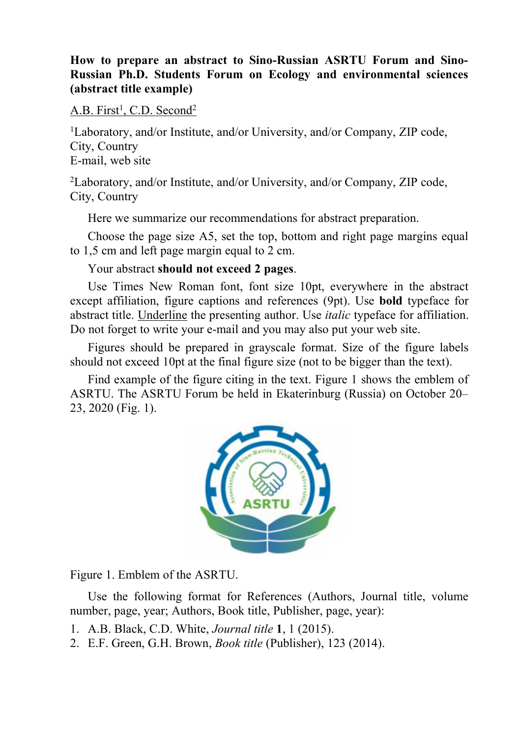## **How to prepare an abstract to Sino-Russian ASRTU Forum and Sino- Russian Ph.D. Students Forum on Ecology and environmental sciences (abstract title example)**

A.B. First<sup>1</sup>, C.D. Second<sup>2</sup> 2

<sup>1</sup>Laboratory, and/or Institute, and/or University, and/or Company, ZIP code, City, Country E-mail, web site

<sup>2</sup>Laboratory, and/or Institute, and/or University, and/or Company, ZIP code, City, Country

Here we summarize our recommendations for abstract preparation.

Choose the page size A5, set the top, bottom and right page margins equal to 1,5 cm and left page margin equal to 2 cm.

Your abstract **should not exceed 2 pages**.

Use Times New Roman font, font size 10pt, everywhere in the abstract except affiliation, figure captions and references (9pt).Use **bold** typeface for abstract title. Underline the presenting author. Use *italic* typeface for affiliation. Do not forget to write your e-mail and you may also put your web site.

Figures should be prepared in grayscale format. Size of the figure labels should not exceed 10pt at the final figure size (not to be bigger than the text).

Find example of the figure citing in the text. Figure 1 shows the emblem of ASRTU. The ASRTU Forum be held in Ekaterinburg (Russia) on October 20– 23, 2020 (Fig. 1).



Figure 1. Emblem of the ASRTU.

Use the following format for References (Authors, Journal title, volume number, page, year; Authors, Book title, Publisher, page, year):

- 1. A.B. Black, C.D. White, *Journal title* **1**, 1 (2015).
- 2. E.F. Green, G.H. Brown, *Book title* (Publisher), 123 (2014).